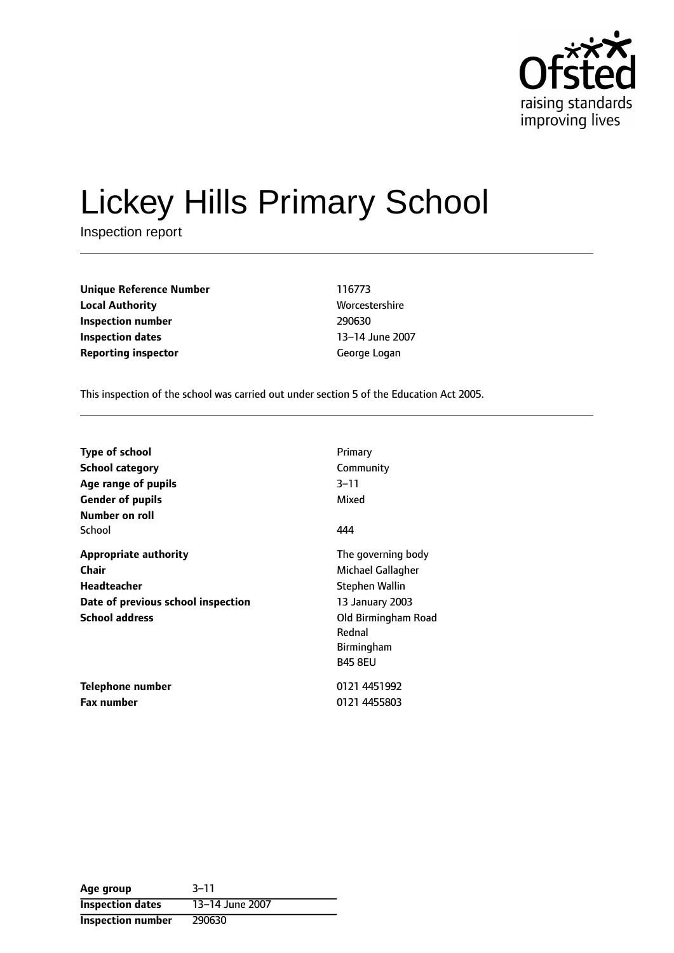

# Lickey Hills Primary School

Inspection report

| <b>Unique Reference Number</b> | 116773         |
|--------------------------------|----------------|
| <b>Local Authority</b>         | Worcestershire |
| Inspection number              | 290630         |
| Inspection dates               | 13–14 June 20  |
| <b>Reporting inspector</b>     | George Logan   |

**Worcestershire 13-14 June 2007** 

This inspection of the school was carried out under section 5 of the Education Act 2005.

| <b>Type of school</b><br><b>School category</b><br>Age range of pupils<br><b>Gender of pupils</b><br>Number on roll        | Primary<br>Community<br>3-11<br>Mixed                                                                                                                |
|----------------------------------------------------------------------------------------------------------------------------|------------------------------------------------------------------------------------------------------------------------------------------------------|
| School                                                                                                                     | 444                                                                                                                                                  |
| <b>Appropriate authority</b><br>Chair<br><b>Headteacher</b><br>Date of previous school inspection<br><b>School address</b> | The governing body<br>Michael Gallagher<br>Stephen Wallin<br>13 January 2003<br>Old Birmingham Road<br>Rednal<br><b>Birmingham</b><br><b>B45 8EU</b> |
| Telephone number<br><b>Fax number</b>                                                                                      | 0121 4451992<br>0121 4455803                                                                                                                         |

| Age group                | $3 - 11$        |
|--------------------------|-----------------|
| <b>Inspection dates</b>  | 13-14 June 2007 |
| <b>Inspection number</b> | 290630          |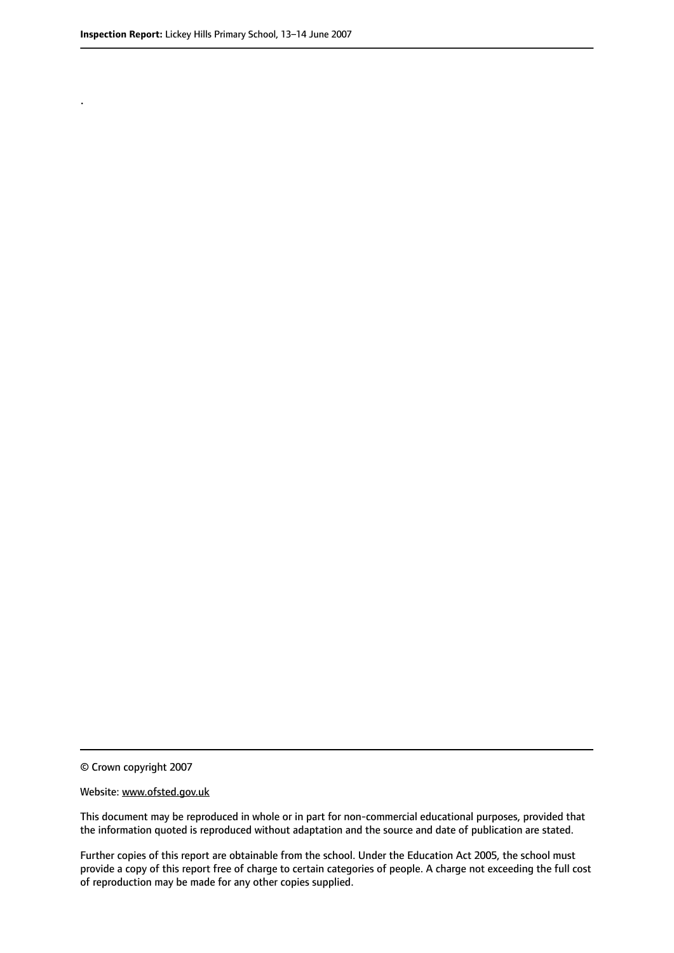.

© Crown copyright 2007

#### Website: www.ofsted.gov.uk

This document may be reproduced in whole or in part for non-commercial educational purposes, provided that the information quoted is reproduced without adaptation and the source and date of publication are stated.

Further copies of this report are obtainable from the school. Under the Education Act 2005, the school must provide a copy of this report free of charge to certain categories of people. A charge not exceeding the full cost of reproduction may be made for any other copies supplied.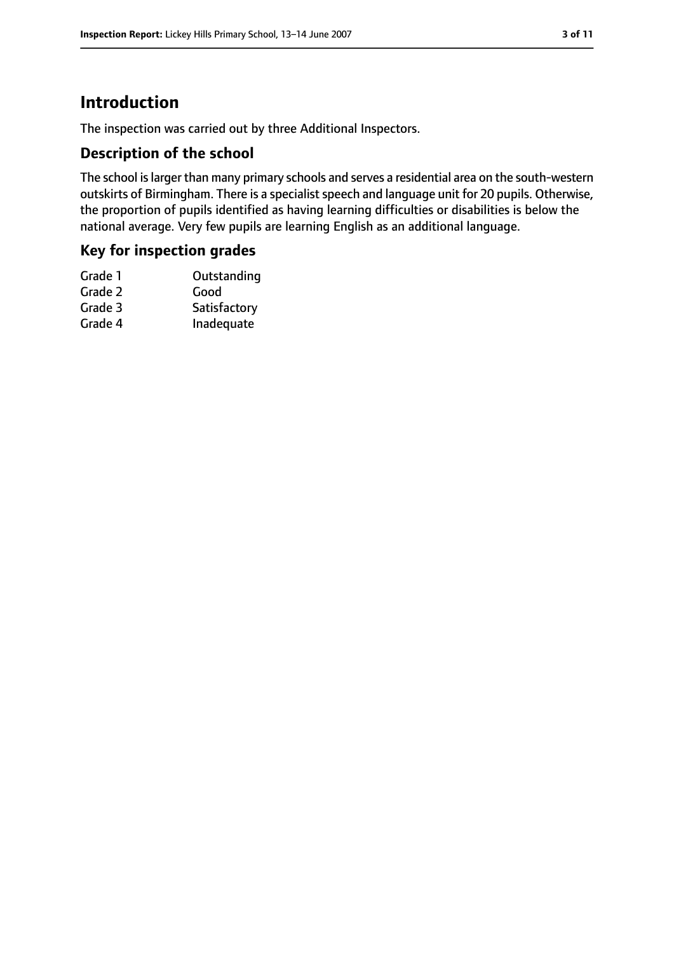## **Introduction**

The inspection was carried out by three Additional Inspectors.

#### **Description of the school**

The school islarger than many primary schools and serves a residential area on the south-western outskirts of Birmingham. There is a specialist speech and language unit for 20 pupils. Otherwise, the proportion of pupils identified as having learning difficulties or disabilities is below the national average. Very few pupils are learning English as an additional language.

#### **Key for inspection grades**

| Grade 1 | Outstanding  |
|---------|--------------|
| Grade 2 | Good         |
| Grade 3 | Satisfactory |
| Grade 4 | Inadequate   |
|         |              |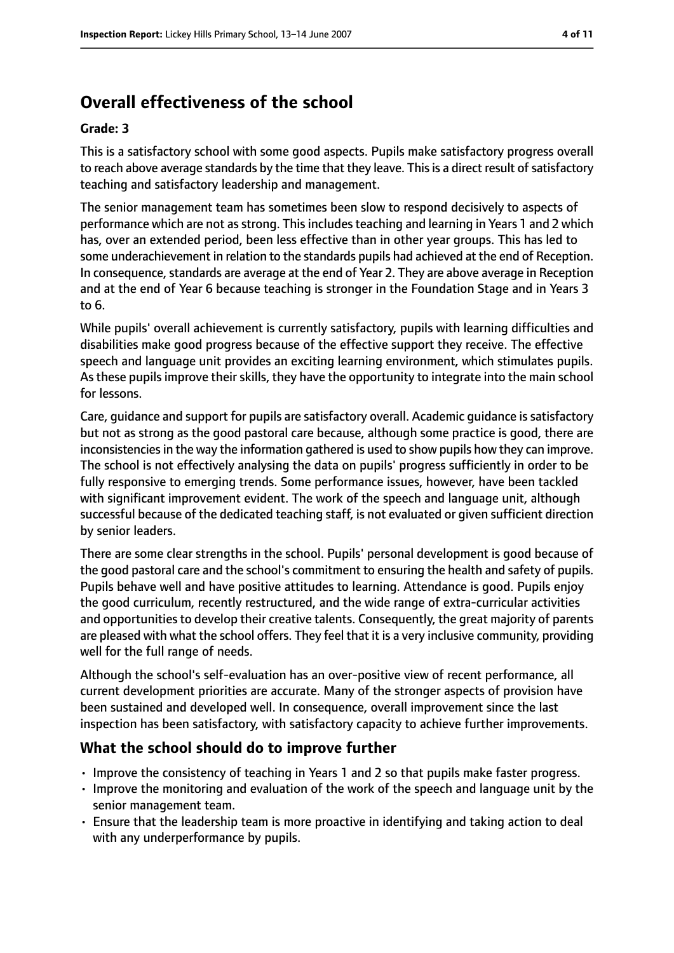# **Overall effectiveness of the school**

#### **Grade: 3**

This is a satisfactory school with some good aspects. Pupils make satisfactory progress overall to reach above average standards by the time that they leave. This is a direct result of satisfactory teaching and satisfactory leadership and management.

The senior management team has sometimes been slow to respond decisively to aspects of performance which are not asstrong. Thisincludesteaching and learning in Years 1 and 2 which has, over an extended period, been less effective than in other year groups. This has led to some underachievement in relation to the standards pupils had achieved at the end of Reception. In consequence, standards are average at the end of Year 2. They are above average in Reception and at the end of Year 6 because teaching is stronger in the Foundation Stage and in Years 3 to 6.

While pupils' overall achievement is currently satisfactory, pupils with learning difficulties and disabilities make good progress because of the effective support they receive. The effective speech and language unit provides an exciting learning environment, which stimulates pupils. As these pupils improve their skills, they have the opportunity to integrate into the main school for lessons.

Care, guidance and support for pupils are satisfactory overall. Academic guidance is satisfactory but not as strong as the good pastoral care because, although some practice is good, there are inconsistenciesin the way the information gathered is used to show pupils how they can improve. The school is not effectively analysing the data on pupils' progress sufficiently in order to be fully responsive to emerging trends. Some performance issues, however, have been tackled with significant improvement evident. The work of the speech and language unit, although successful because of the dedicated teaching staff, is not evaluated or given sufficient direction by senior leaders.

There are some clear strengths in the school. Pupils' personal development is good because of the good pastoral care and the school's commitment to ensuring the health and safety of pupils. Pupils behave well and have positive attitudes to learning. Attendance is good. Pupils enjoy the good curriculum, recently restructured, and the wide range of extra-curricular activities and opportunities to develop their creative talents. Consequently, the great majority of parents are pleased with what the school offers. They feel that it is a very inclusive community, providing well for the full range of needs.

Although the school's self-evaluation has an over-positive view of recent performance, all current development priorities are accurate. Many of the stronger aspects of provision have been sustained and developed well. In consequence, overall improvement since the last inspection has been satisfactory, with satisfactory capacity to achieve further improvements.

#### **What the school should do to improve further**

- Improve the consistency of teaching in Years 1 and 2 so that pupils make faster progress.
- Improve the monitoring and evaluation of the work of the speech and language unit by the senior management team.
- Ensure that the leadership team is more proactive in identifying and taking action to deal with any underperformance by pupils.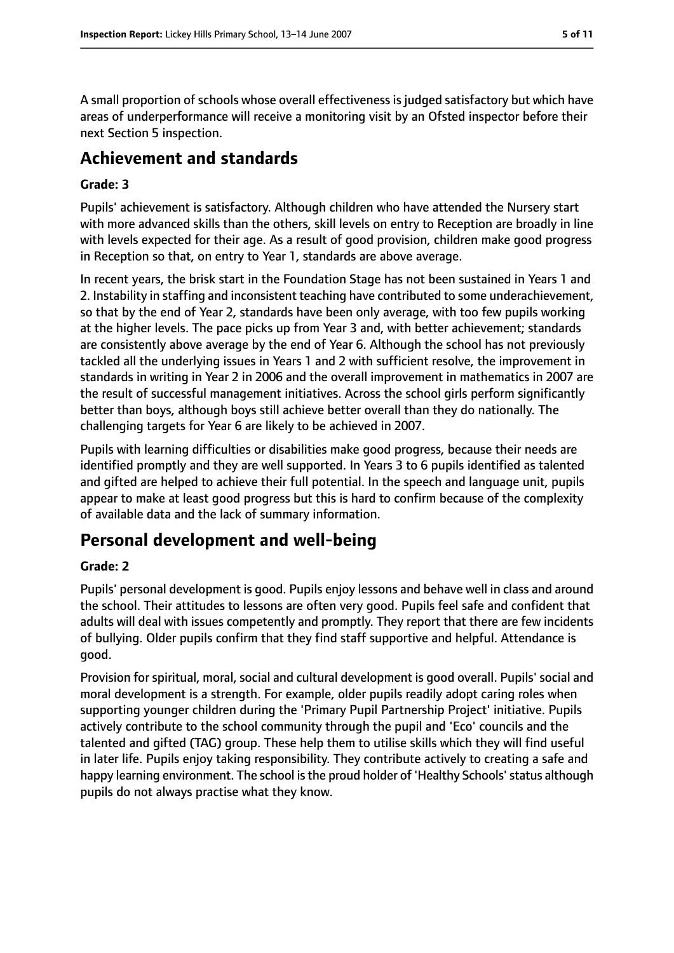A small proportion of schools whose overall effectiveness is judged satisfactory but which have areas of underperformance will receive a monitoring visit by an Ofsted inspector before their next Section 5 inspection.

## **Achievement and standards**

#### **Grade: 3**

Pupils' achievement is satisfactory. Although children who have attended the Nursery start with more advanced skills than the others, skill levels on entry to Reception are broadly in line with levels expected for their age. As a result of good provision, children make good progress in Reception so that, on entry to Year 1, standards are above average.

In recent years, the brisk start in the Foundation Stage has not been sustained in Years 1 and 2. Instability in staffing and inconsistent teaching have contributed to some underachievement, so that by the end of Year 2, standards have been only average, with too few pupils working at the higher levels. The pace picks up from Year 3 and, with better achievement; standards are consistently above average by the end of Year 6. Although the school has not previously tackled all the underlying issues in Years 1 and 2 with sufficient resolve, the improvement in standards in writing in Year 2 in 2006 and the overall improvement in mathematics in 2007 are the result of successful management initiatives. Across the school girls perform significantly better than boys, although boys still achieve better overall than they do nationally. The challenging targets for Year 6 are likely to be achieved in 2007.

Pupils with learning difficulties or disabilities make good progress, because their needs are identified promptly and they are well supported. In Years 3 to 6 pupils identified as talented and gifted are helped to achieve their full potential. In the speech and language unit, pupils appear to make at least good progress but this is hard to confirm because of the complexity of available data and the lack of summary information.

## **Personal development and well-being**

#### **Grade: 2**

Pupils' personal development is good. Pupils enjoy lessons and behave well in class and around the school. Their attitudes to lessons are often very good. Pupils feel safe and confident that adults will deal with issues competently and promptly. They report that there are few incidents of bullying. Older pupils confirm that they find staff supportive and helpful. Attendance is good.

Provision for spiritual, moral, social and cultural development is good overall. Pupils' social and moral development is a strength. For example, older pupils readily adopt caring roles when supporting younger children during the 'Primary Pupil Partnership Project' initiative. Pupils actively contribute to the school community through the pupil and 'Eco' councils and the talented and gifted (TAG) group. These help them to utilise skills which they will find useful in later life. Pupils enjoy taking responsibility. They contribute actively to creating a safe and happy learning environment. The school is the proud holder of 'Healthy Schools' status although pupils do not always practise what they know.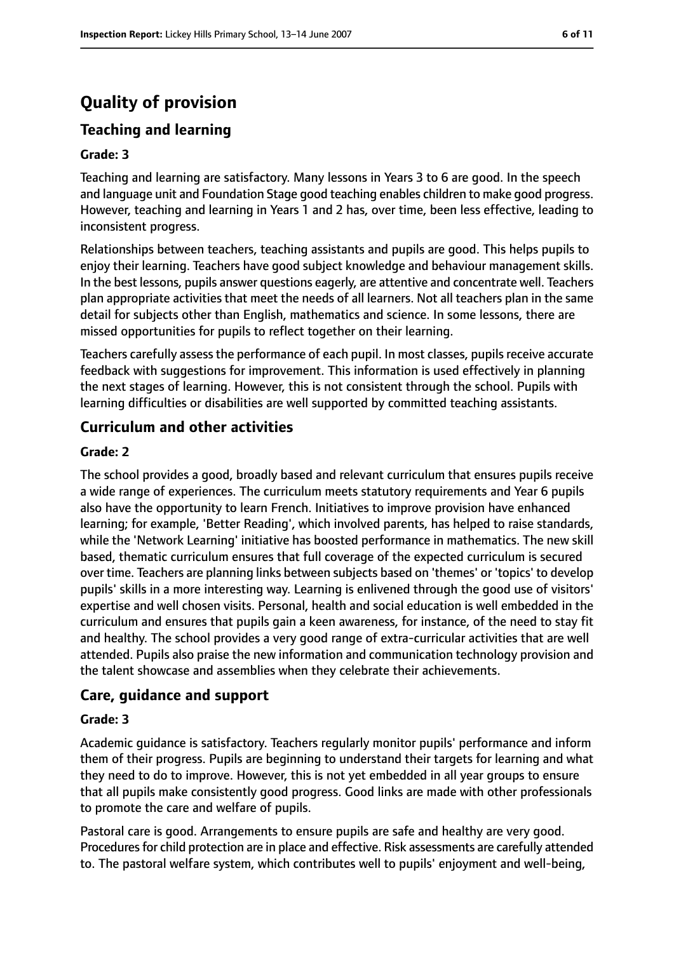# **Quality of provision**

## **Teaching and learning**

#### **Grade: 3**

Teaching and learning are satisfactory. Many lessons in Years 3 to 6 are good. In the speech and language unit and Foundation Stage good teaching enables children to make good progress. However, teaching and learning in Years 1 and 2 has, over time, been less effective, leading to inconsistent progress.

Relationships between teachers, teaching assistants and pupils are good. This helps pupils to enjoy their learning. Teachers have good subject knowledge and behaviour management skills. In the best lessons, pupils answer questions eagerly, are attentive and concentrate well. Teachers plan appropriate activities that meet the needs of all learners. Not all teachers plan in the same detail for subjects other than English, mathematics and science. In some lessons, there are missed opportunities for pupils to reflect together on their learning.

Teachers carefully assess the performance of each pupil. In most classes, pupils receive accurate feedback with suggestions for improvement. This information is used effectively in planning the next stages of learning. However, this is not consistent through the school. Pupils with learning difficulties or disabilities are well supported by committed teaching assistants.

#### **Curriculum and other activities**

#### **Grade: 2**

The school provides a good, broadly based and relevant curriculum that ensures pupils receive a wide range of experiences. The curriculum meets statutory requirements and Year 6 pupils also have the opportunity to learn French. Initiatives to improve provision have enhanced learning; for example, 'Better Reading', which involved parents, has helped to raise standards, while the 'Network Learning' initiative has boosted performance in mathematics. The new skill based, thematic curriculum ensures that full coverage of the expected curriculum is secured over time. Teachers are planning links between subjects based on 'themes' or 'topics' to develop pupils' skills in a more interesting way. Learning is enlivened through the good use of visitors' expertise and well chosen visits. Personal, health and social education is well embedded in the curriculum and ensures that pupils gain a keen awareness, for instance, of the need to stay fit and healthy. The school provides a very good range of extra-curricular activities that are well attended. Pupils also praise the new information and communication technology provision and the talent showcase and assemblies when they celebrate their achievements.

#### **Care, guidance and support**

#### **Grade: 3**

Academic guidance is satisfactory. Teachers regularly monitor pupils' performance and inform them of their progress. Pupils are beginning to understand their targets for learning and what they need to do to improve. However, this is not yet embedded in all year groups to ensure that all pupils make consistently good progress. Good links are made with other professionals to promote the care and welfare of pupils.

Pastoral care is good. Arrangements to ensure pupils are safe and healthy are very good. Procedures for child protection are in place and effective. Risk assessments are carefully attended to. The pastoral welfare system, which contributes well to pupils' enjoyment and well-being,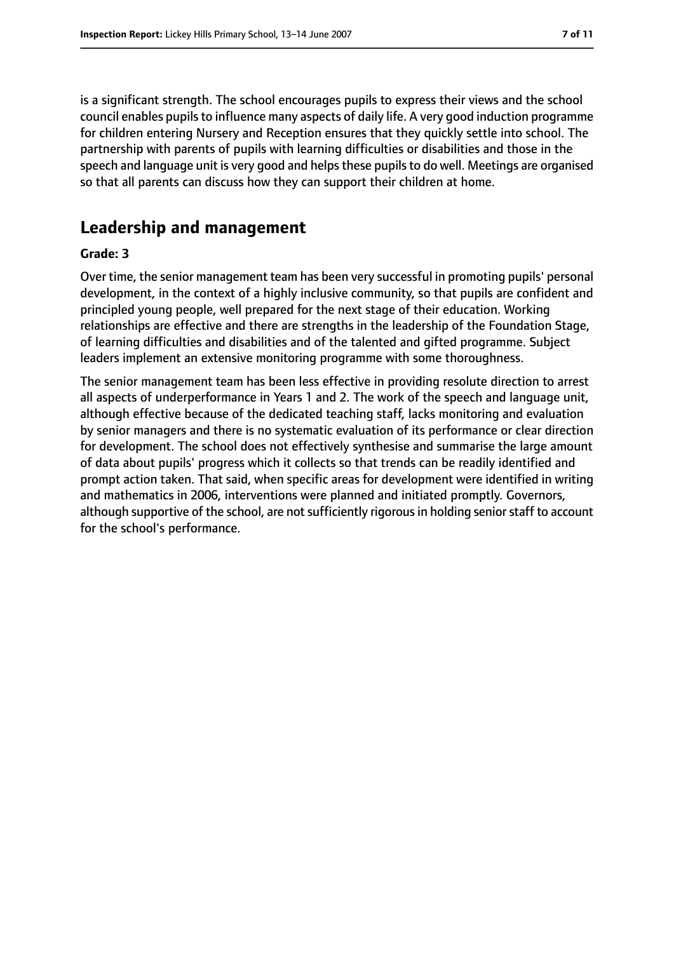is a significant strength. The school encourages pupils to express their views and the school council enables pupils to influence many aspects of daily life. A very good induction programme for children entering Nursery and Reception ensures that they quickly settle into school. The partnership with parents of pupils with learning difficulties or disabilities and those in the speech and language unit is very good and helps these pupils to do well. Meetings are organised so that all parents can discuss how they can support their children at home.

## **Leadership and management**

#### **Grade: 3**

Over time, the senior management team has been very successful in promoting pupils' personal development, in the context of a highly inclusive community, so that pupils are confident and principled young people, well prepared for the next stage of their education. Working relationships are effective and there are strengths in the leadership of the Foundation Stage, of learning difficulties and disabilities and of the talented and gifted programme. Subject leaders implement an extensive monitoring programme with some thoroughness.

The senior management team has been less effective in providing resolute direction to arrest all aspects of underperformance in Years 1 and 2. The work of the speech and language unit, although effective because of the dedicated teaching staff, lacks monitoring and evaluation by senior managers and there is no systematic evaluation of its performance or clear direction for development. The school does not effectively synthesise and summarise the large amount of data about pupils' progress which it collects so that trends can be readily identified and prompt action taken. That said, when specific areas for development were identified in writing and mathematics in 2006, interventions were planned and initiated promptly. Governors, although supportive of the school, are not sufficiently rigorous in holding senior staff to account for the school's performance.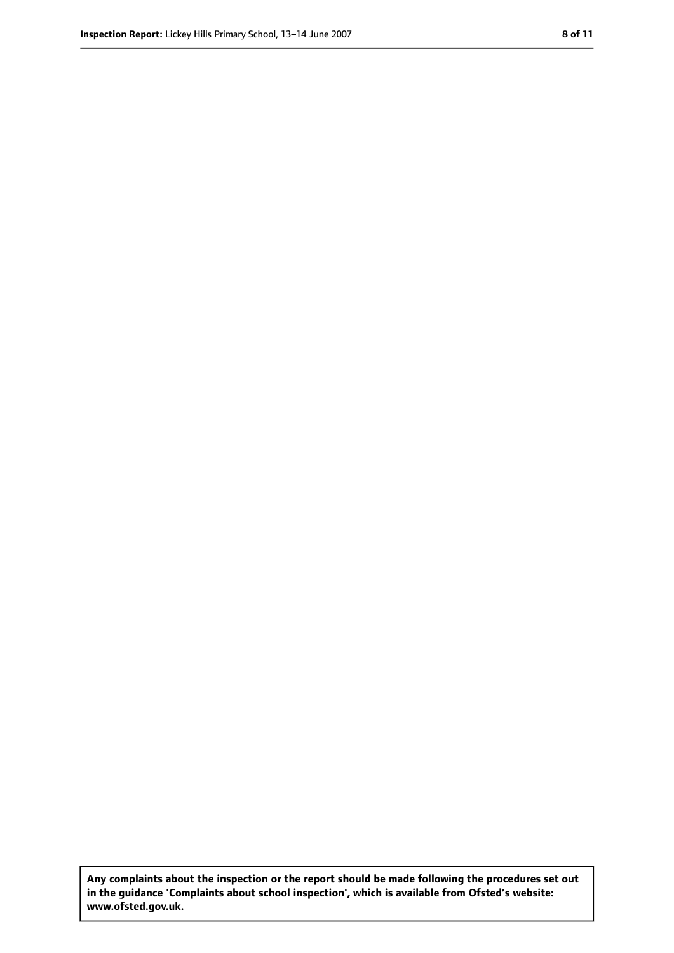**Any complaints about the inspection or the report should be made following the procedures set out in the guidance 'Complaints about school inspection', which is available from Ofsted's website: www.ofsted.gov.uk.**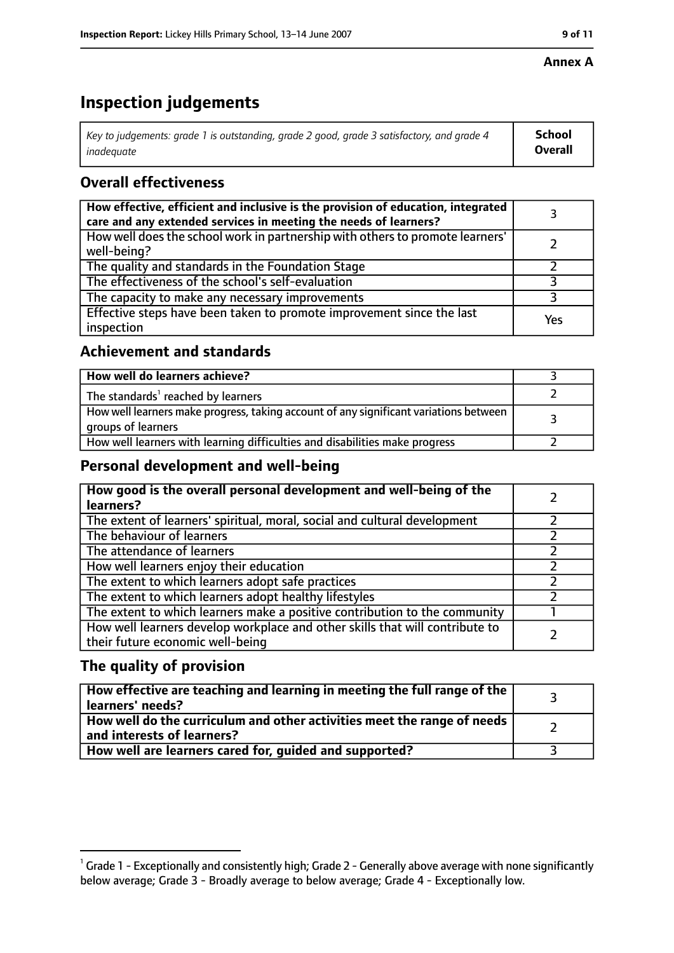#### **Annex A**

# **Inspection judgements**

| Key to judgements: grade 1 is outstanding, grade 2 good, grade 3 satisfactory, and grade 4 $\,$ | <b>School</b>  |
|-------------------------------------------------------------------------------------------------|----------------|
| inadequate                                                                                      | <b>Overall</b> |

## **Overall effectiveness**

| How effective, efficient and inclusive is the provision of education, integrated<br>care and any extended services in meeting the needs of learners? |     |
|------------------------------------------------------------------------------------------------------------------------------------------------------|-----|
| How well does the school work in partnership with others to promote learners'<br>well-being?                                                         |     |
| The quality and standards in the Foundation Stage                                                                                                    |     |
| The effectiveness of the school's self-evaluation                                                                                                    |     |
| The capacity to make any necessary improvements                                                                                                      |     |
| Effective steps have been taken to promote improvement since the last<br>inspection                                                                  | Yes |

## **Achievement and standards**

| How well do learners achieve?                                                                               |  |
|-------------------------------------------------------------------------------------------------------------|--|
| The standards <sup>1</sup> reached by learners                                                              |  |
| How well learners make progress, taking account of any significant variations between<br>groups of learners |  |
| How well learners with learning difficulties and disabilities make progress                                 |  |

#### **Personal development and well-being**

| How good is the overall personal development and well-being of the<br>learners?                                  |  |
|------------------------------------------------------------------------------------------------------------------|--|
| The extent of learners' spiritual, moral, social and cultural development                                        |  |
| The behaviour of learners                                                                                        |  |
| The attendance of learners                                                                                       |  |
| How well learners enjoy their education                                                                          |  |
| The extent to which learners adopt safe practices                                                                |  |
| The extent to which learners adopt healthy lifestyles                                                            |  |
| The extent to which learners make a positive contribution to the community                                       |  |
| How well learners develop workplace and other skills that will contribute to<br>their future economic well-being |  |

#### **The quality of provision**

| How effective are teaching and learning in meeting the full range of the<br>learners' needs?          |  |
|-------------------------------------------------------------------------------------------------------|--|
| How well do the curriculum and other activities meet the range of needs<br>and interests of learners? |  |
| How well are learners cared for, guided and supported?                                                |  |

 $^1$  Grade 1 - Exceptionally and consistently high; Grade 2 - Generally above average with none significantly below average; Grade 3 - Broadly average to below average; Grade 4 - Exceptionally low.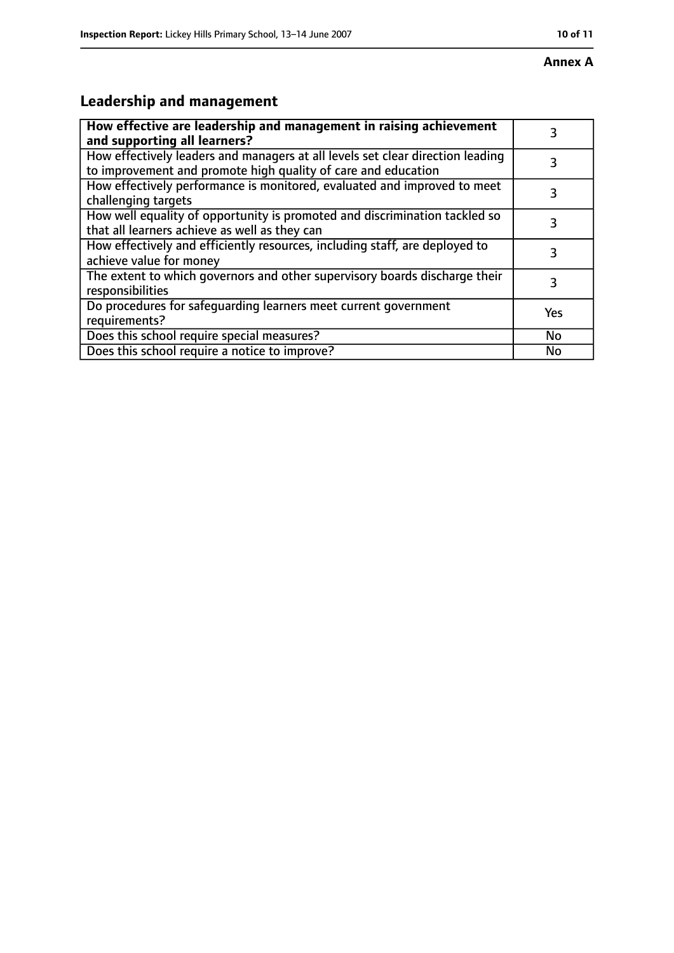# **Leadership and management**

| How effective are leadership and management in raising achievement<br>and supporting all learners?                                              | 3   |
|-------------------------------------------------------------------------------------------------------------------------------------------------|-----|
| How effectively leaders and managers at all levels set clear direction leading<br>to improvement and promote high quality of care and education |     |
| How effectively performance is monitored, evaluated and improved to meet<br>challenging targets                                                 | 3   |
| How well equality of opportunity is promoted and discrimination tackled so<br>that all learners achieve as well as they can                     | 3   |
| How effectively and efficiently resources, including staff, are deployed to<br>achieve value for money                                          | 3   |
| The extent to which governors and other supervisory boards discharge their<br>responsibilities                                                  | 3   |
| Do procedures for safequarding learners meet current government<br>requirements?                                                                | Yes |
| Does this school require special measures?                                                                                                      | No  |
| Does this school require a notice to improve?                                                                                                   | No  |